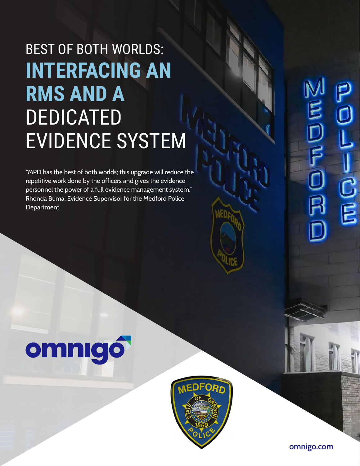## BEST OF BOTH WORLDS: **INTERFACING AN RMS AND A**  DEDICATED EVIDENCE SYSTEM

"MPD has the best of both worlds; this upgrade will reduce the repetitive work done by the officers and gives the evidence personnel the power of a full evidence management system." Rhonda Buma, Evidence Supervisor for the Medford Police **Department** 

# omnigó



 $\mathbb{E}$ D<br>F  $\frac{\text{C}}{\text{E}}$ 

**omnigo.com**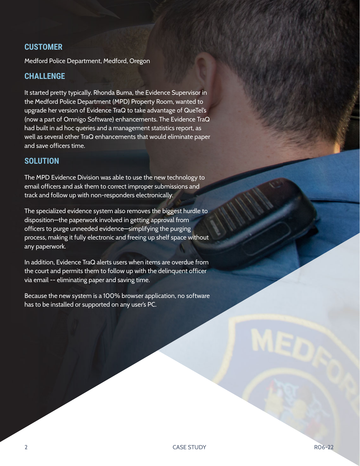#### **CUSTOMER**

Medford Police Department, Medford, Oregon

#### **CHALLENGE**

It started pretty typically. Rhonda Buma, the Evidence Supervisor in the Medford Police Department (MPD) Property Room, wanted to upgrade her version of Evidence TraQ to take advantage of QueTel's (now a part of Omnigo Software) enhancements. The Evidence TraQ had built in ad hoc queries and a management statistics report, as well as several other TraQ enhancements that would eliminate paper and save officers time.

#### **SOLUTION**

The MPD Evidence Division was able to use the new technology to email officers and ask them to correct improper submissions and track and follow up with non-responders electronically.

The specialized evidence system also removes the biggest hurdle to disposition—the paperwork involved in getting approval from officers to purge unneeded evidence—simplifying the purging process, making it fully electronic and freeing up shelf space without any paperwork.

In addition, Evidence TraQ alerts users when items are overdue from the court and permits them to follow up with the delinquent officer via email -- eliminating paper and saving time.

Because the new system is a 100% browser application, no software has to be installed or supported on any user's PC.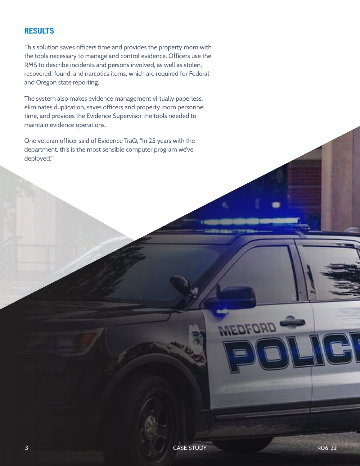#### **RESULTS**

This solution saves officers time and provides the property room with the tools necessary to manage and control evidence. Officers use the RMS to describe incidents and persons involved, as well as stolen, recovered, found, and narcotics items, which are required for Federal and Oregon state reporting.

The system also makes evidence management virtually paperless, eliminates duplication, saves officers and property room personnel time, and provides the Evidence Supervisor the tools needed to maintain evidence operations.

One veteran officer said of Evidence TraQ, "In 25 years with the department, this is the most sensible computer program we've deployed."

**MEDFORD**